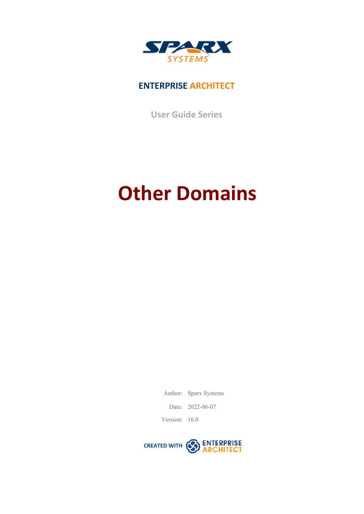

## **ENTERPRISE ARCHITECT**

**User Guide Series**

# **Other Domains**

Author: Sparx Systems

Date: 2022-06-07

Version: 16.0

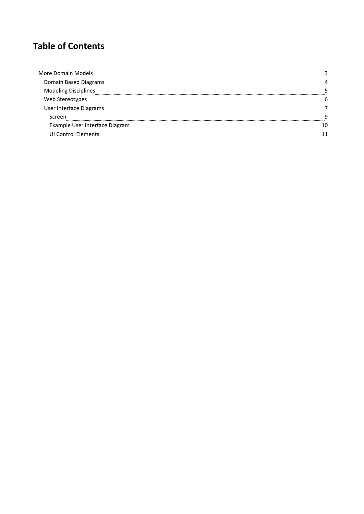# **Table of Contents**

| More Domain Models        |  |
|---------------------------|--|
| Domain Based Diagrams     |  |
|                           |  |
| Stereotypes               |  |
| User Interface Diagrams   |  |
|                           |  |
| le User Interface Diagram |  |
| <b>ULControl Flements</b> |  |
|                           |  |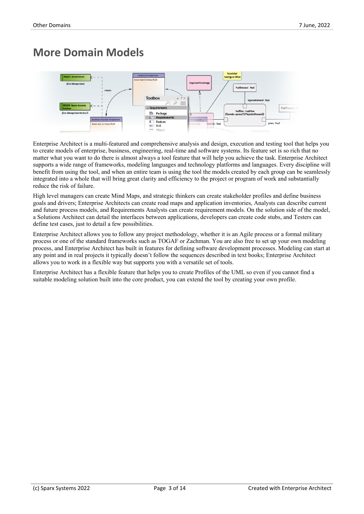# **More Domain Models**



Enterprise Architect is a multi-featured and comprehensive analysis and design, execution and testing tool that helps you to create models ofenterprise, business, engineering, real-time and software systems.Its feature set is so rich that no matter what you want to do there is almost always a tool feature that will help you achieve the task. Enterprise Architect supports a wide range of frameworks, modeling languages and technology platforms and languages. Every discipline will benefit from using the tool, and when an entire team is using the tool the models created by each group can be seamlessly integrated into a whole that will bring great clarity and efficiency to the project or program of work and substantially reduce the risk of failure.

High level managers can create Mind Maps, and strategic thinkers can create stakeholder profiles and define business goals and drivers; Enterprise Architects can create road maps and application inventories, Analysts can describe current and future process models, and Requirements Analysts can create requirement models. On the solution side of the model, a Solutions Architect can detail the interfaces between applications, developers can create code stubs, and Testers can define test cases, just to detail a few possibilities.

Enterprise Architect allows you to follow any project methodology, whether it is an Agile process or a formal military process orone of the standard frameworks such as TOGAF or Zachman. You are also free to set up your own modeling process, and Enterprise Architect has builtin features for defining software development processes. Modeling can start at any point and in real projects it typically doesn't follow the sequences described in text books; Enterprise Architect allows you to work in a flexible way but supports you with a versatile set of tools.

Enterprise Architect has a flexible feature that helps you to create Profiles ofthe UML so even if you cannot find a suitable modeling solution built into the core product, you can extend the tool by creating your own profile.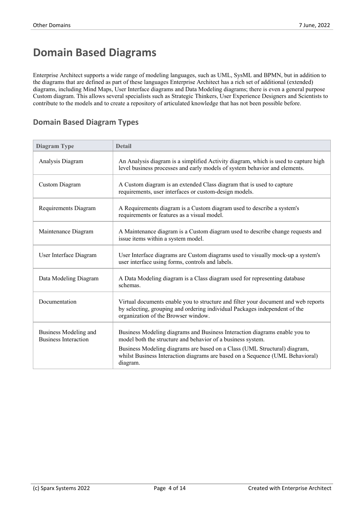# **Domain Based Diagrams**

Enterprise Architect supports a wide range of modeling languages, such as UML, SysML and BPMN, but in addition to the diagrams that are defined as part of these languages Enterprise Architect has a rich setof additional (extended) diagrams, including Mind Maps, User Interface diagrams and Data Modeling diagrams; there is even a general purpose Custom diagram. This allows several specialists such as Strategic Thinkers, User Experience Designers and Scientists to contribute to the models and to create a repository of articulated knowledge that has not been possible before.

## **Domain Based Diagram Types**

| Diagram Type                                         | <b>Detail</b>                                                                                                                                                                                           |
|------------------------------------------------------|---------------------------------------------------------------------------------------------------------------------------------------------------------------------------------------------------------|
| Analysis Diagram                                     | An Analysis diagram is a simplified Activity diagram, which is used to capture high<br>level business processes and early models of system behavior and elements.                                       |
| <b>Custom Diagram</b>                                | A Custom diagram is an extended Class diagram that is used to capture<br>requirements, user interfaces or custom-design models.                                                                         |
| Requirements Diagram                                 | A Requirements diagram is a Custom diagram used to describe a system's<br>requirements or features as a visual model.                                                                                   |
| Maintenance Diagram                                  | A Maintenance diagram is a Custom diagram used to describe change requests and<br>issue items within a system model.                                                                                    |
| User Interface Diagram                               | User Interface diagrams are Custom diagrams used to visually mock-up a system's<br>user interface using forms, controls and labels.                                                                     |
| Data Modeling Diagram                                | A Data Modeling diagram is a Class diagram used for representing database<br>schemas.                                                                                                                   |
| Documentation                                        | Virtual documents enable you to structure and filter your document and web reports<br>by selecting, grouping and ordering individual Packages independent of the<br>organization of the Browser window. |
| Business Modeling and<br><b>Business Interaction</b> | Business Modeling diagrams and Business Interaction diagrams enable you to<br>model both the structure and behavior of a business system.                                                               |
|                                                      | Business Modeling diagrams are based on a Class (UML Structural) diagram,<br>whilst Business Interaction diagrams are based on a Sequence (UML Behavioral)<br>diagram.                                  |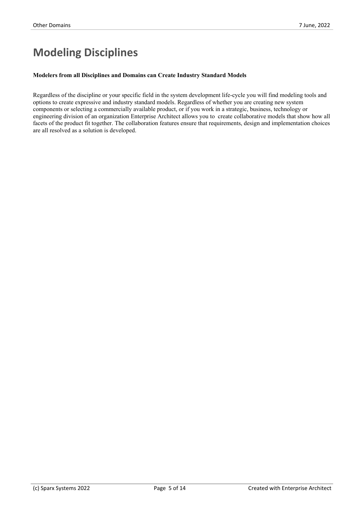# **Modeling Disciplines**

#### **Modelers from all Disciplines and Domains can Create Industry Standard Models**

Regardless of the discipline or your specific field in the system development life-cycle you will find modeling tools and options to create expressive and industry standard models. Regardless of whether you are creating new system components orselecting a commercially available product, or if you work in a strategic, business, technology or engineering division of an organization Enterprise Architect allows you to create collaborative models that show how all facets of the product fit together. The collaboration features ensure that requirements, design and implementation choices are all resolved as a solution is developed.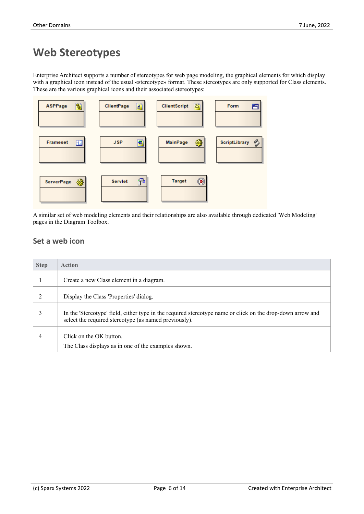# **Web Stereotypes**

Enterprise Architect supports a number of stereotypes for web page modeling, the graphical elements for which display with a graphical icon instead of the usual «stereotype» format. These stereotypes are only supported for Class elements. These are the various graphical icons and their associated stereotypes:



A similar set of web modeling elements and their relationships are also available through dedicated 'Web Modeling' pages in the Diagram Toolbox.

## **Set a web icon**

| <b>Step</b> | <b>Action</b>                                                                                                                                                       |
|-------------|---------------------------------------------------------------------------------------------------------------------------------------------------------------------|
|             | Create a new Class element in a diagram.                                                                                                                            |
|             | Display the Class 'Properties' dialog.                                                                                                                              |
|             | In the 'Stereotype' field, either type in the required stereotype name or click on the drop-down arrow and<br>select the required stereotype (as named previously). |
| 4           | Click on the OK button.<br>The Class displays as in one of the examples shown.                                                                                      |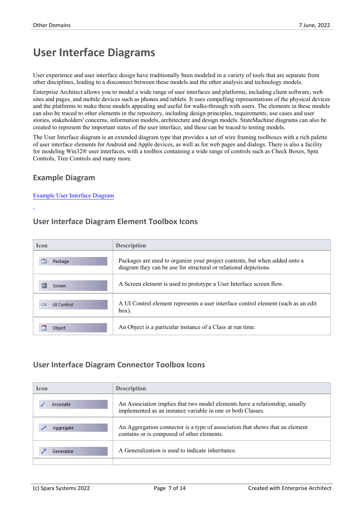# **User Interface Diagrams**

User experience and user interface design have traditionally been modeled in a variety of tools that are separate from other disciplines, leading to a disconnect between these models and the other analysis and technology models.

Enterprise Architect allows you to model a wide range of user interfaces and platforms, including client software, web sites and pages, and mobile devices such as phones and tablets. It uses compelling representations ofthe physical devices and the platforms to make these models appealing and useful for walks-through with users. The elements in these models can also be traced to other elements in the repository, including design principles, requirements, use cases and user stories, stakeholders' concerns, information models, architecture and design models. StateMachine diagrams can also be created to represent the important states of the user interface, and these can be traced to testing models.

The User Interface diagram is an extended diagram type that provides a set of wire framing toolboxes with a rich palette of user interface elements for Android and Apple devices, as well as for web pages and dialogs. There is also a facility for modeling Win32® user interfaces, with a toolbox containing a wide range of controls such as Check Boxes, Spin Controls, Tree Controls and many more.

## **Example Diagram**

#### Example User Interface Diagram

## **User Interface Diagram Element Toolbox Icons**

| <b>Icon</b>                 | <b>Description</b>                                                                                                                             |
|-----------------------------|------------------------------------------------------------------------------------------------------------------------------------------------|
| Package                     | Packages are used to organize your project contents, but when added onto a<br>diagram they can be use for structural or relational depictions. |
| 夁<br>Screen                 | A Screen element is used to prototype a User Interface screen flow.                                                                            |
| <b>UI Control</b><br>$\Box$ | A UI Control element represents a user interface control element (such as an edit<br>box).                                                     |
| Object                      | An Object is a particular instance of a Class at run time.                                                                                     |

## **User Interface Diagram Connector Toolbox Icons**

| <b>Icon</b> | <b>Description</b>                                                                                                                         |
|-------------|--------------------------------------------------------------------------------------------------------------------------------------------|
| Associate   | An Association implies that two model elements have a relationship, usually<br>implemented as an instance variable in one or both Classes. |
| Aggregate   | An Aggregation connector is a type of association that shows that an element<br>contains or is composed of other elements.                 |
| Generalize  | A Generalization is used to indicate inheritance.                                                                                          |
|             |                                                                                                                                            |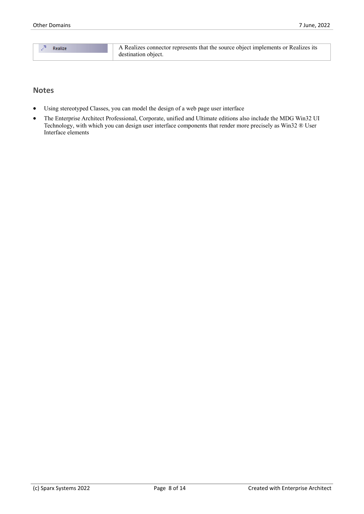| Realize |
|---------|
|         |

#### **Notes**

- Using stereotyped Classes, you can model the design of a web page user interface
- The Enterprise Architect Professional, Corporate, unified and Ultimate editions also include the MDG Win32 UI Technology, with which you can design user interface components that render more precisely as Win32 ® User Interface elements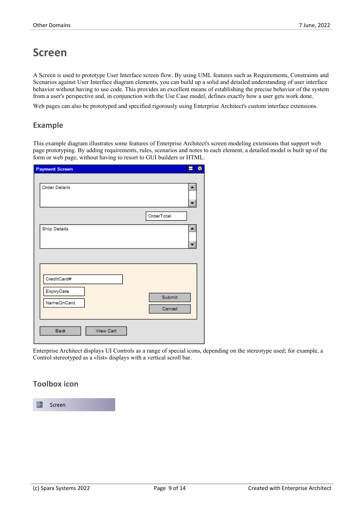## **Screen**

A Screen is used to prototype User Interface screen flow. By using UML features such as Requirements, Constraints and Scenarios against User Interface diagram elements, you can build up a solid and detailed understanding of user interface behavior without having to use code. This provides an excellent means of establishing the precise behavior of the system from a user's perspective and, in conjunction with the Use Case model, defines exactly how a user gets work done.

Web pages can also be prototyped and specified rigorously using Enterprise Architect's custom interface extensions.

#### **Example**

This example diagram illustrates some features of Enterprise Architect's screen modeling extensions that support web page prototyping. By adding requirements, rules, scenarios and notes to each element, a detailed model is builtup of the form or web page, without having to resort to GUI builders or HTML.

| <b>Payment Screen</b>           | 図<br>Α           |
|---------------------------------|------------------|
|                                 |                  |
| <b>Order Details</b>            |                  |
|                                 | OrderTotal       |
| <b>Ship Details</b>             |                  |
|                                 |                  |
| CreditCard#<br>ExpiryDate       |                  |
| NameOnCard                      | Submit<br>Cancel |
|                                 |                  |
| <b>Back</b><br><b>View Cart</b> |                  |

Enterprise Architect displays UI Controls as a range of special icons, depending on the stereotype used; for example, a Control stereotyped as a «list» displays with a vertical scroll bar.

#### **Toolbox icon**

夁 Screen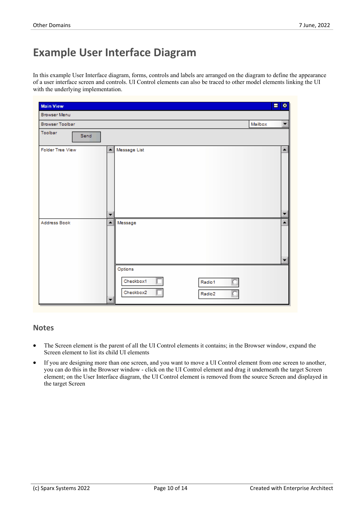# **Example User Interface Diagram**

In this example User Interface diagram, forms, controls and labels are arranged on the diagram to define the appearance of a user interface screen and controls. UI Control elements can also be traced to other model elements linking the UI with the underlying implementation.

| <b>Main View</b>        |                                                                            | н       | 图                                            |
|-------------------------|----------------------------------------------------------------------------|---------|----------------------------------------------|
| <b>Browser Menu</b>     |                                                                            |         |                                              |
| <b>Browser Toolbar</b>  |                                                                            | Mailbox | $\blacktriangledown$                         |
| Toolbar<br>Send         |                                                                            |         |                                              |
| <b>Folder Tree View</b> | $\blacktriangle$<br>Message List                                           |         | $\blacktriangle$                             |
|                         | $\overline{\phantom{a}}$                                                   |         | ▼                                            |
| Address Book            | $\blacktriangle$<br>Message<br>Options<br>Checkbox1<br>Radio1<br>Checkbox2 |         | $\blacktriangle$<br>$\overline{\phantom{a}}$ |
|                         | Radio2<br>▼                                                                |         |                                              |

#### **Notes**

- The Screen element is the parent of all the UI Control elements it contains; in the Browser window, expand the Screen element to list its child UI elements
- If you are designing more than one screen, and you want to move a UI Control element from one screen to another, you can do this in the Browser window - click on the UI Control element and drag it underneath the target Screen element; on the User Interface diagram, the UI Control element is removed from the source Screen and displayed in the target Screen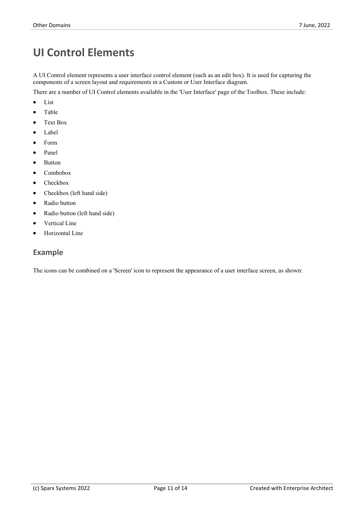# **UI Control Elements**

A UI Control element represents a user interface control element (such as an edit box). It is used for capturing the components of a screen layout and requirements in a Custom or User Interface diagram.

There are a number of UI Control elements available in the 'User Interface' page of the Toolbox. These include:

- · List
- · Table
- Text Box
- · Label
- · Form
- Panel
- **Button**
- Combobox
- Checkbox
- Checkbox (left hand side)
- · Radio button
- · Radio button (left hand side)
- Vertical Line
- Horizontal Line

#### **Example**

The icons can be combined on a 'Screen' icon to represent the appearance of a user interface screen, as shown: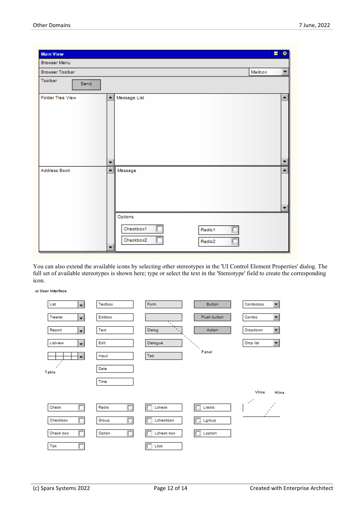| <b>Main View</b>        |                                                            | 図<br>Ξ                                       |
|-------------------------|------------------------------------------------------------|----------------------------------------------|
| <b>Browser Menu</b>     |                                                            |                                              |
| <b>Browser Toolbar</b>  |                                                            | $\overline{\phantom{0}}$<br>Mailbox          |
| Toolbar<br>Send         |                                                            |                                              |
| <b>Folder Tree View</b> | Message List<br>$\blacktriangle$                           | $\blacktriangle$                             |
|                         | ▼                                                          | ٠                                            |
| Address Book            | $\blacktriangle$<br>Message                                | $\blacktriangle$<br>$\overline{\phantom{a}}$ |
|                         | Options<br>Checkbox1<br>Radio1<br>Checkbox2<br>Radio2<br>▼ |                                              |

You can also extend the available icons by selecting other stereotypes in the 'UI Control Element Properties' dialog. The full set of available stereotypes is shown here; type or select the text in the 'Stereotype' field to create the corresponding icon.

ui User Interface